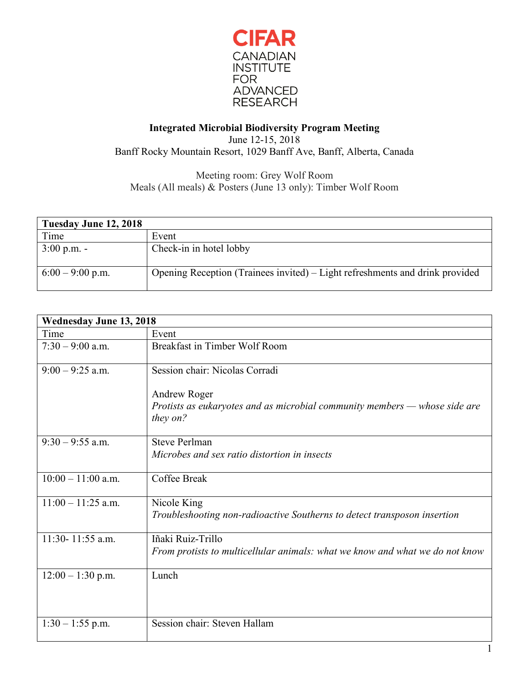

## **Integrated Microbial Biodiversity Program Meeting** June 12-15, 2018

Banff Rocky Mountain Resort, 1029 Banff Ave, Banff, Alberta, Canada

## Meeting room: Grey Wolf Room Meals (All meals) & Posters (June 13 only): Timber Wolf Room

| Tuesday June 12, 2018 |                                                                              |
|-----------------------|------------------------------------------------------------------------------|
| Time                  | Event                                                                        |
| $3:00 \text{ p.m.}$ - | Check-in in hotel lobby                                                      |
| $6:00 - 9:00$ p.m.    | Opening Reception (Trainees invited) – Light refreshments and drink provided |

| <b>Wednesday June 13, 2018</b> |                                                                                         |
|--------------------------------|-----------------------------------------------------------------------------------------|
| Time                           | Event                                                                                   |
| $7:30 - 9:00$ a.m.             | Breakfast in Timber Wolf Room                                                           |
| $9:00 - 9:25$ a.m.             | Session chair: Nicolas Corradi                                                          |
|                                | Andrew Roger                                                                            |
|                                | Protists as eukaryotes and as microbial community members — whose side are<br>they on?  |
| $9:30 - 9:55$ a.m.             | <b>Steve Perlman</b><br>Microbes and sex ratio distortion in insects                    |
|                                |                                                                                         |
| $10:00 - 11:00$ a.m.           | Coffee Break                                                                            |
| $11:00 - 11:25$ a.m.           | Nicole King<br>Troubleshooting non-radioactive Southerns to detect transposon insertion |
| 11:30-11:55 a.m.               | Iñaki Ruiz-Trillo                                                                       |
|                                | From protists to multicellular animals: what we know and what we do not know            |
| $12:00 - 1:30$ p.m.            | Lunch                                                                                   |
| $1:30 - 1:55$ p.m.             | Session chair: Steven Hallam                                                            |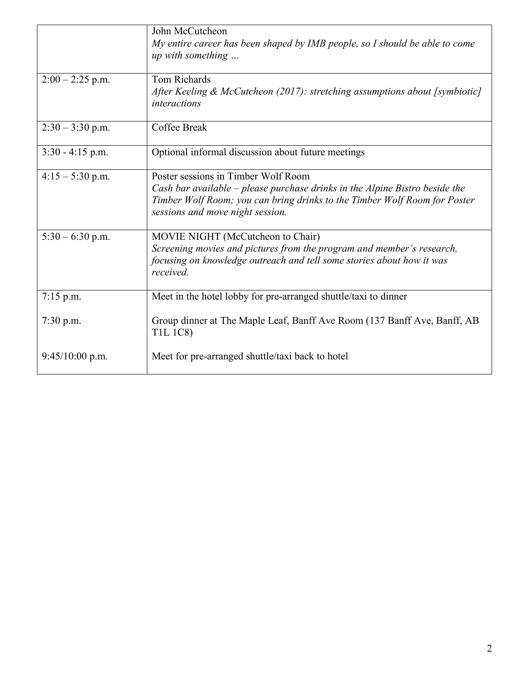|                    | John McCutcheon<br>My entire career has been shaped by IMB people, so I should be able to come<br>up with something                                                                                                                 |
|--------------------|-------------------------------------------------------------------------------------------------------------------------------------------------------------------------------------------------------------------------------------|
| $2:00 - 2:25$ p.m. | Tom Richards<br>After Keeling & McCutcheon (2017): stretching assumptions about [symbiotic]<br>interactions                                                                                                                         |
| $2:30 - 3:30$ p.m. | Coffee Break                                                                                                                                                                                                                        |
| $3:30 - 4:15$ p.m. | Optional informal discussion about future meetings                                                                                                                                                                                  |
| $4:15 - 5:30$ p.m. | Poster sessions in Timber Wolf Room<br>Cash bar available – please purchase drinks in the Alpine Bistro beside the<br>Timber Wolf Room; you can bring drinks to the Timber Wolf Room for Poster<br>sessions and move night session. |
| $5:30 - 6:30$ p.m. | MOVIE NIGHT (McCutcheon to Chair)<br>Screening movies and pictures from the program and member's research,<br>focusing on knowledge outreach and tell some stories about how it was<br>received.                                    |
| $7:15$ p.m.        | Meet in the hotel lobby for pre-arranged shuttle/taxi to dinner                                                                                                                                                                     |
| $7:30$ p.m.        | Group dinner at The Maple Leaf, Banff Ave Room (137 Banff Ave, Banff, AB<br><b>T1L 1C8)</b>                                                                                                                                         |
| $9:45/10:00$ p.m.  | Meet for pre-arranged shuttle/taxi back to hotel                                                                                                                                                                                    |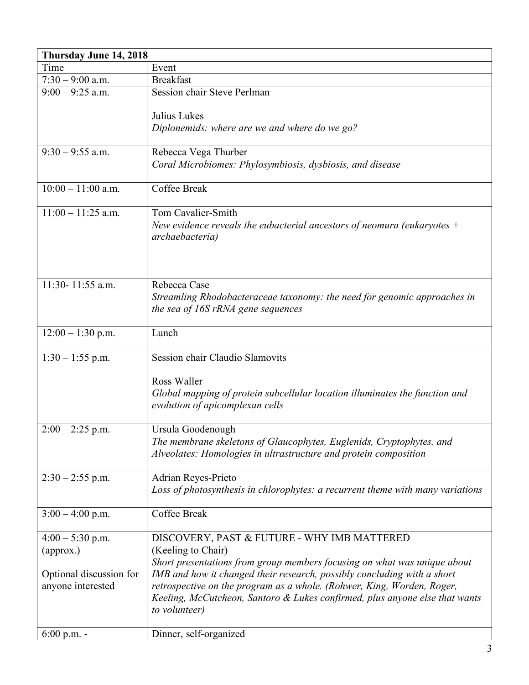| Thursday June 14, 2018  |                                                                                |  |
|-------------------------|--------------------------------------------------------------------------------|--|
| Time                    | Event                                                                          |  |
| $7:30 - 9:00$ a.m.      | <b>Breakfast</b>                                                               |  |
| $9:00 - 9:25$ a.m.      | Session chair Steve Perlman                                                    |  |
|                         |                                                                                |  |
|                         | Julius Lukes                                                                   |  |
|                         | Diplonemids: where are we and where do we go?                                  |  |
| $9:30 - 9:55$ a.m.      | Rebecca Vega Thurber                                                           |  |
|                         | Coral Microbiomes: Phylosymbiosis, dysbiosis, and disease                      |  |
|                         |                                                                                |  |
| $10:00 - 11:00$ a.m.    | Coffee Break                                                                   |  |
| $11:00 - 11:25$ a.m.    | <b>Tom Cavalier-Smith</b>                                                      |  |
|                         | New evidence reveals the eubacterial ancestors of neomura (eukaryotes $+$      |  |
|                         | archaebacteria)                                                                |  |
|                         |                                                                                |  |
|                         |                                                                                |  |
|                         |                                                                                |  |
| 11:30-11:55 a.m.        | Rebecca Case                                                                   |  |
|                         | Streamling Rhodobacteraceae taxonomy: the need for genomic approaches in       |  |
|                         | the sea of 16S rRNA gene sequences                                             |  |
| $12:00 - 1:30$ p.m.     | Lunch                                                                          |  |
|                         |                                                                                |  |
| $1:30 - 1:55$ p.m.      | Session chair Claudio Slamovits                                                |  |
|                         |                                                                                |  |
|                         | Ross Waller                                                                    |  |
|                         | Global mapping of protein subcellular location illuminates the function and    |  |
|                         | evolution of apicomplexan cells                                                |  |
|                         |                                                                                |  |
| $2:00 - 2:25$ p.m.      | Ursula Goodenough                                                              |  |
|                         | The membrane skeletons of Glaucophytes, Euglenids, Cryptophytes, and           |  |
|                         | Alveolates: Homologies in ultrastructure and protein composition               |  |
| $2:30 - 2:55$ p.m.      | Adrian Reyes-Prieto                                                            |  |
|                         | Loss of photosynthesis in chlorophytes: a recurrent theme with many variations |  |
|                         |                                                                                |  |
| $3:00 - 4:00$ p.m.      | Coffee Break                                                                   |  |
|                         |                                                                                |  |
| $4:00 - 5:30$ p.m.      | DISCOVERY, PAST & FUTURE - WHY IMB MATTERED                                    |  |
| (approx.)               | (Keeling to Chair)                                                             |  |
|                         | Short presentations from group members focusing on what was unique about       |  |
| Optional discussion for | IMB and how it changed their research, possibly concluding with a short        |  |
| anyone interested       | retrospective on the program as a whole. (Rohwer, King, Worden, Roger,         |  |
|                         | Keeling, McCutcheon, Santoro & Lukes confirmed, plus anyone else that wants    |  |
|                         | to volunteer)                                                                  |  |
|                         |                                                                                |  |
| 6:00 p.m. -             | Dinner, self-organized                                                         |  |